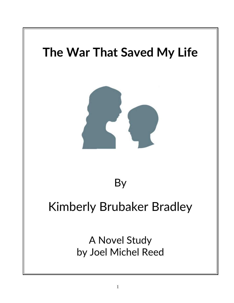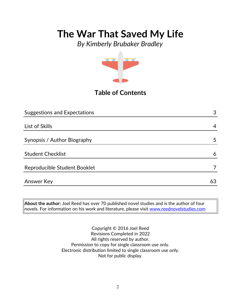*By Kimberly Brubaker Bradley*



## **Table of Contents**

| <b>Suggestions and Expectations</b> | 3  |
|-------------------------------------|----|
|                                     |    |
| List of Skills                      | 4  |
|                                     |    |
| Synopsis / Author Biography         | 5  |
|                                     |    |
| <b>Student Checklist</b>            | 6  |
| Reproducible Student Booklet        |    |
|                                     |    |
| <b>Answer Key</b>                   | 63 |

**About the author:** Joel Reed has over 70 published novel studies and is the author of four novels. For information on his work and literature, please visit [www.reednovelstudies.com](http://www.reednovelstudies.com/)

> Copyright © 2016 Joel Reed Revisions Completed in 2022 All rights reserved by author. Permission to copy for single classroom use only. Electronic distribution limited to single classroom use only. Not for public display.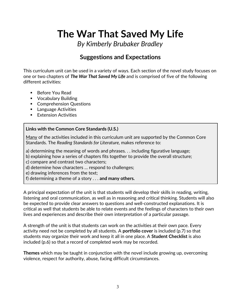*By Kimberly Brubaker Bradley*

## **Suggestions and Expectations**

This curriculum unit can be used in a variety of ways. Each section of the novel study focuses on one or two chapters of *The War That Saved My Life* and is comprised of five of the following different activities:

- Before You Read
- Vocabulary Building
- **Comprehension Questions**
- **Language Activities**
- **Extension Activities**

#### **Links with the Common Core Standards (U.S.)**

Many of the activities included in this curriculum unit are supported by the Common Core Standards. The *Reading Standards for Literature,* makes reference to:

- a) determining the meaning of words and phrases. . . including figurative language;
- b) explaining how a series of chapters fits together to provide the overall structure;
- c) compare and contrast two characters;
- d) determine how characters … respond to challenges;
- e) drawing inferences from the text;
- f) determining a theme of a story . . . **and many others.**

A principal expectation of the unit is that students will develop their skills in reading, writing, listening and oral communication, as well as in reasoning and critical thinking. Students will also be expected to provide clear answers to questions and well-constructed explanations. It is critical as well that students be able to relate events and the feelings of characters to their own lives and experiences and describe their own interpretation of a particular passage.

A strength of the unit is that students can work on the activities at their own pace. Every activity need not be completed by all students. A **portfolio cover** is included (p.7) so that students may organize their work and keep it all in one place. A **Student Checklist** is also included (p.6) so that a record of completed work may be recorded.

**Themes** which may be taught in conjunction with the novel include growing up, overcoming violence, respect for authority, abuse, facing difficult circumstances.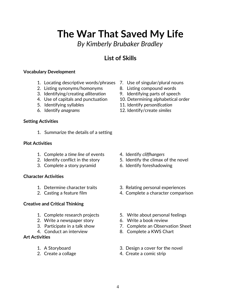*By Kimberly Brubaker Bradley*

## **List of Skills**

#### **Vocabulary Development**

- 1. Locating descriptive words/phrases 7. Use of singular/plural nouns
- 2. Listing synonyms/homonyms 8. Listing compound words
- 3. Identifying/creating *alliteration* 9. Identifying parts of speech
- 
- 
- 

#### **Setting Activities**

1. Summarize the details of a setting

#### **Plot Activities**

- 1. Complete a *time line* of events 4. Identify *cliffhangers*
- 
- 3. Complete a story pyramid 6. Identify foreshadowing

#### **Character Activities**

- 
- 

#### **Creative and Critical Thinking**

- 
- 2. Write a newspaper story 6. Write a book review
- 
- 

#### **Art Activities**

- 
- 
- 
- 
- 
- 4. Use of capitals and punctuation 10. Determining alphabetical order
- 5. Identifying syllables 11. Identify *personification*
- 6. Identify *anagrams* 12. Identify/create *similes*

- 
- 2. Identify conflict in the story 5. Identify the climax of the novel
	-
- 1. Determine character traits 3. Relating personal experiences
- 2. Casting a feature film 4. Complete a character comparison
- 1. Complete research projects 5. Write about personal feelings
	-
- 3. Participate in a talk show 7. Complete an Observation Sheet
- 4. Conduct an interview 8. Complete a KWS Chart
- 1. A Storyboard 3. Design a cover for the novel
- 2. Create a collage 4. Create a comic strip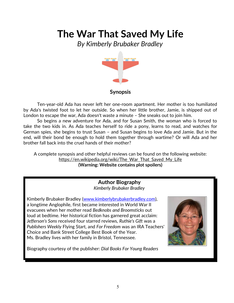*By Kimberly Brubaker Bradley*



### **Synopsis**

Ten-year-old Ada has never left her one-room apartment. Her mother is too humiliated by Ada's twisted foot to let her outside. So when her little brother, Jamie, is shipped out of London to escape the war, Ada doesn't waste a minute – She sneaks out to join him.

So begins a new adventure for Ada, and for Susan Smith, the woman who is forced to take the two kids in. As Ada teaches herself to ride a pony, learns to read, and watches for German spies, she begins to trust Susan – and Susan begins to love Ada and Jamie. But in the end, will their bond be enough to hold them together through wartime? Or will Ada and her brother fall back into the cruel hands of their mother?

A complete synopsis and other helpful reviews can be found on the following website: https://en.wikipedia.org/wiki/The\_War\_That\_Saved\_My\_Life **(Warning: Website contains plot spoilers)**

> **Author Biography** *Kimberly Brubaker Bradley*

Kimberly Brubaker Bradley [\(www.kimberlybrubakerbradley.com\)](http://www.kimberlybrubakerbradley.com/), a longtime Anglophile, first became interested in World War II evacuees when her mother read *Bedknobs and Broomsticks* out loud at bedtime. Her historical fiction has garnered great acclaim: *Jefferson's Sons* received four starred reviews, *Ruthie's Gift* was a *Publishers Weekly* Flying Start, and *For Freedom* was an IRA Teachers' Choice and Bank Street College Best Book of the Year. Ms. Bradley lives with her family in Bristol, Tennessee.



Biography courtesy of the publisher: *Dial Books For Young Readers*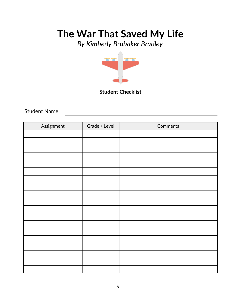*By Kimberly Brubaker Bradley*



**Student Checklist**

Student Name

| Assignment | Grade / Level | Comments |
|------------|---------------|----------|
|            |               |          |
|            |               |          |
|            |               |          |
|            |               |          |
|            |               |          |
|            |               |          |
|            |               |          |
|            |               |          |
|            |               |          |
|            |               |          |
|            |               |          |
|            |               |          |
|            |               |          |
|            |               |          |
|            |               |          |
|            |               |          |
|            |               |          |
|            |               |          |
|            |               |          |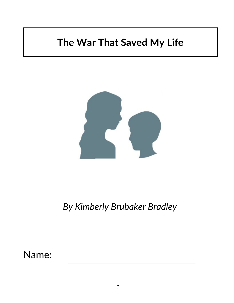

*By Kimberly Brubaker Bradley*

Name: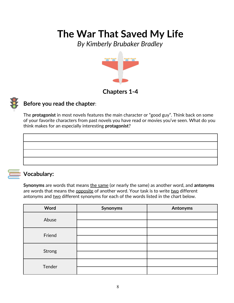*By Kimberly Brubaker Bradley*



## **Chapters 1-4**



### **Before you read the chapter**:

The **protagonist** in most novels features the main character or "good guy". Think back on some of your favorite characters from past novels you have read or movies you've seen. What do you think makes for an especially interesting **protagonist**?



### **Vocabulary:**

**Synonyms** are words that means the same (or nearly the same) as another word, and **antonyms** are words that means the opposite of another word. Your task is to write two different antonyms and two different synonyms for each of the words listed in the chart below.

| Word   | Synonyms | <b>Antonyms</b> |
|--------|----------|-----------------|
| Abuse  |          |                 |
|        |          |                 |
| Friend |          |                 |
|        |          |                 |
|        |          |                 |
| Strong |          |                 |
| Tender |          |                 |
|        |          |                 |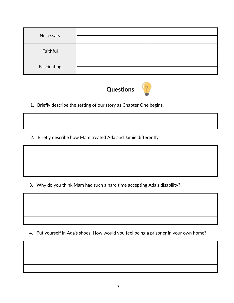| Necessary   |  |
|-------------|--|
|             |  |
|             |  |
| Faithful    |  |
| Fascinating |  |
|             |  |



1. Briefly describe the setting of our story as Chapter One begins.

2. Briefly describe how Mam treated Ada and Jamie differently.

3. Why do you think Mam had such a hard time accepting Ada's disability?

4. Put yourself in Ada's shoes. How would you feel being a prisoner in your own home?

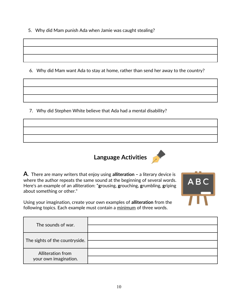5. Why did Mam punish Ada when Jamie was caught stealing?

6. Why did Mam want Ada to stay at home, rather than send her away to the country?

7. Why did Stephen White believe that Ada had a mental disability?



**A**. There are many writers that enjoy using **alliteration –** a literary device is where the author repeats the same sound at the beginning of several words. Here's an example of an alliteration: "**g**rousing, **g**rouching, **g**rumbling, **g**riping about something or other."



Using your imagination, create your own examples of **alliteration** from the following topics. Each example must contain a minimum of three words.

| The sounds of war.                         |  |
|--------------------------------------------|--|
| The sights of the countryside.             |  |
| Alliteration from<br>your own imagination. |  |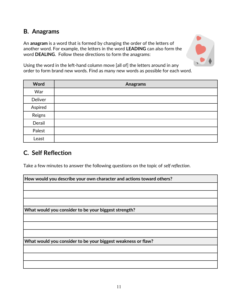## **B. Anagrams**

An **anagram** is a word that is formed by changing the order of the letters of another word. For example, the letters in the word **LEADING** can also form the word **DEALING**. Follow these directions to form the anagrams:



Using the word in the left-hand column move [all of] the letters around in any order to form brand new words. Find as many new words as possible for each word.

| Word    | <b>Anagrams</b> |
|---------|-----------------|
| War     |                 |
| Deliver |                 |
| Aspired |                 |
| Reigns  |                 |
| Derail  |                 |
| Palest  |                 |
| Least   |                 |

## **C. Self Reflection**

Take a few minutes to answer the following questions on the topic of *self reflection*.

| How would you describe your own character and actions toward others? |
|----------------------------------------------------------------------|
|                                                                      |
|                                                                      |
|                                                                      |
| What would you consider to be your biggest strength?                 |
|                                                                      |
|                                                                      |
|                                                                      |
| What would you consider to be your biggest weakness or flaw?         |
|                                                                      |
|                                                                      |
|                                                                      |